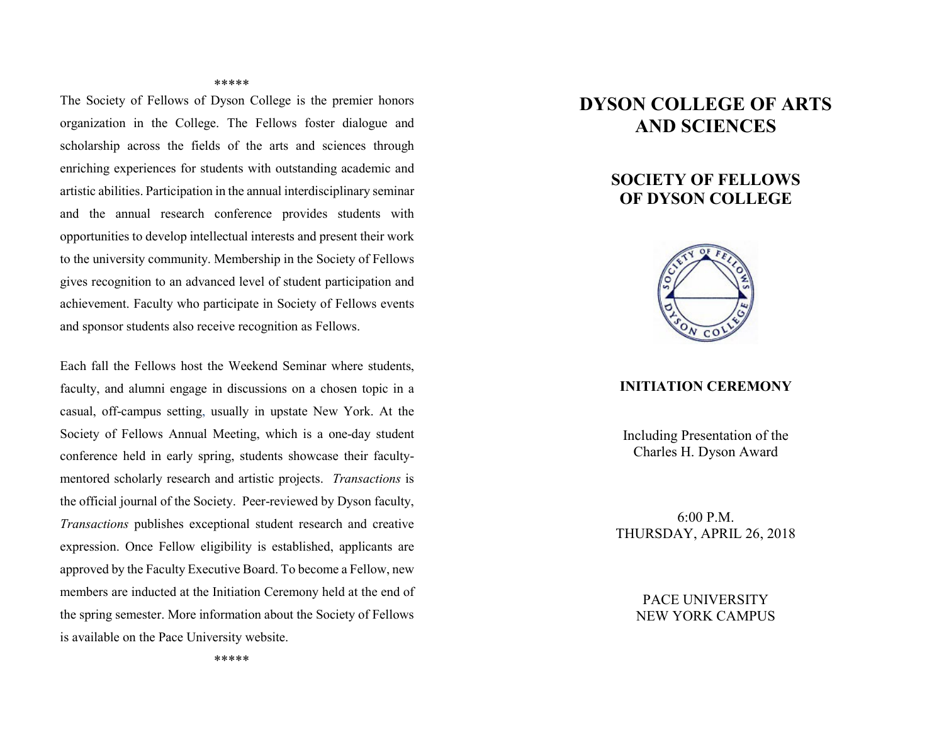#### \*\*\*\*\*

The Society of Fellows of Dyson College is the premier honors organization in the College. The Fellows foster dialogue and scholarship across the fields of the arts and sciences through enriching experiences for students with outstanding academic and artistic abilities. Participation in the annual interdisciplinary seminar and the annual research conference provides students with opportunities to develop intellectual interests and present their work to the university community. Membership in the Society of Fellows gives recognition to an advanced level of student participation and achievement. Faculty who participate in Society of Fellows events and sponsor students also receive recognition as Fellows.

Each fall the Fellows host the Weekend Seminar where students, faculty, and alumni engage in discussions on a chosen topic in a casual, off-campus setting, usually in upstate New York. At the Society of Fellows Annual Meeting, which is a one-day student conference held in early spring, students showcase their facultymentored scholarly research and artistic projects. *Transactions* is the official journal of the Society. Peer-reviewed by Dyson faculty, *Transactions* publishes exceptional student research and creative expression. Once Fellow eligibility is established, applicants are approved by the Faculty Executive Board. To become a Fellow, new members are inducted at the Initiation Ceremony held at the end of the spring semester. More information about the Society of Fellows is available on the Pace University website.

# **DYSON COLLEGE OF ARTS AND SCIENCES**

# **SOCIETY OF FELLOWS OF DYSON COLLEGE**



#### **INITIATION CEREMONY**

Including Presentation of the Charles H. Dyson Award

6:00 P.M. THURSDAY, APRIL 26, 2018

> PACE UNIVERSITY NEW YORK CAMPUS